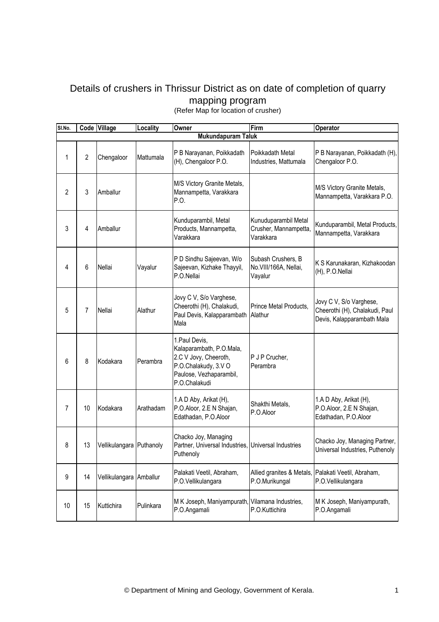## Details of crushers in Thrissur District as on date of completion of quarry mapping program

(Refer Map for location of crusher)

| SI.No.         |                           | Code Village             | Locality  | Owner                                                                                                                                   | Firm                                                       | Operator                                                                                |  |
|----------------|---------------------------|--------------------------|-----------|-----------------------------------------------------------------------------------------------------------------------------------------|------------------------------------------------------------|-----------------------------------------------------------------------------------------|--|
|                | <b>Mukundapuram Taluk</b> |                          |           |                                                                                                                                         |                                                            |                                                                                         |  |
| 1              | $\overline{2}$            | Chengaloor               | Mattumala | P B Narayanan, Poikkadath<br>(H), Chengaloor P.O.                                                                                       | Poikkadath Metal<br>Industries, Mattumala                  | P B Narayanan, Poikkadath (H),<br>Chengaloor P.O.                                       |  |
| $\overline{2}$ | 3                         | Amballur                 |           | M/S Victory Granite Metals,<br>Mannampetta, Varakkara<br>P.O.                                                                           |                                                            | M/S Victory Granite Metals,<br>Mannampetta, Varakkara P.O.                              |  |
| 3              | 4                         | Amballur                 |           | Kunduparambil, Metal<br>Products, Mannampetta,<br>Varakkara                                                                             | Kunuduparambil Metal<br>Crusher, Mannampetta,<br>Varakkara | Kunduparambil, Metal Products,<br>Mannampetta, Varakkara                                |  |
| 4              | 6                         | Nellai                   | Vayalur   | P D Sindhu Sajeevan, W/o<br>Sajeevan, Kizhake Thayyil,<br>P.O.Nellai                                                                    | Subash Crushers, B<br>No.VIII/166A, Nellai,<br>Vayalur     | K S Karunakaran, Kizhakoodan<br>(H), P.O.Nellai                                         |  |
| 5              | 7                         | Nellai                   | Alathur   | Jovy C V, S/o Varghese,<br>Cheerothi (H), Chalakudi,<br>Paul Devis, Kalapparambath<br>Mala                                              | Prince Metal Products,<br>Alathur                          | Jovy C V, S/o Varghese,<br>Cheerothi (H), Chalakudi, Paul<br>Devis, Kalapparambath Mala |  |
| 6              | 8                         | Kodakara                 | Perambra  | 1. Paul Devis,<br>Kalaparambath, P.O.Mala,<br>2.C V Jovy, Cheeroth,<br>P.O.Chalakudy, 3.V O<br>Paulose, Vezhaparambil,<br>P.O.Chalakudi | P J P Crucher,<br>Perambra                                 |                                                                                         |  |
| $\overline{7}$ | 10                        | Kodakara                 | Arathadam | 1.A D Aby, Arikat (H),<br>P.O.Aloor, 2.E N Shajan,<br>Edathadan, P.O.Aloor                                                              | Shakthi Metals,<br>P.O.Aloor                               | 1.A D Aby, Arikat (H),<br>P.O.Aloor, 2.E N Shajan,<br>Edathadan, P.O.Aloor              |  |
| 8              | 13                        | Vellikulangara Puthanoly |           | Chacko Joy, Managing<br>Partner, Universal Industries, Universal Industries<br>Puthenoly                                                |                                                            | Chacko Joy, Managing Partner,<br>Universal Industries, Puthenoly                        |  |
| 9              | 14                        | Vellikulangara Amballur  |           | Palakati Veetil, Abraham,<br>P.O.Vellikulangara                                                                                         | P.O.Murikungal                                             | Allied granites & Metals, Palakati Veetil, Abraham,<br>P.O.Vellikulangara               |  |
| 10             | 15                        | Kuttichira               | Pulinkara | M K Joseph, Maniyampurath,<br>P.O.Angamali                                                                                              | Vilamana Industries,<br>P.O.Kuttichira                     | M K Joseph, Maniyampurath,<br>P.O.Angamali                                              |  |